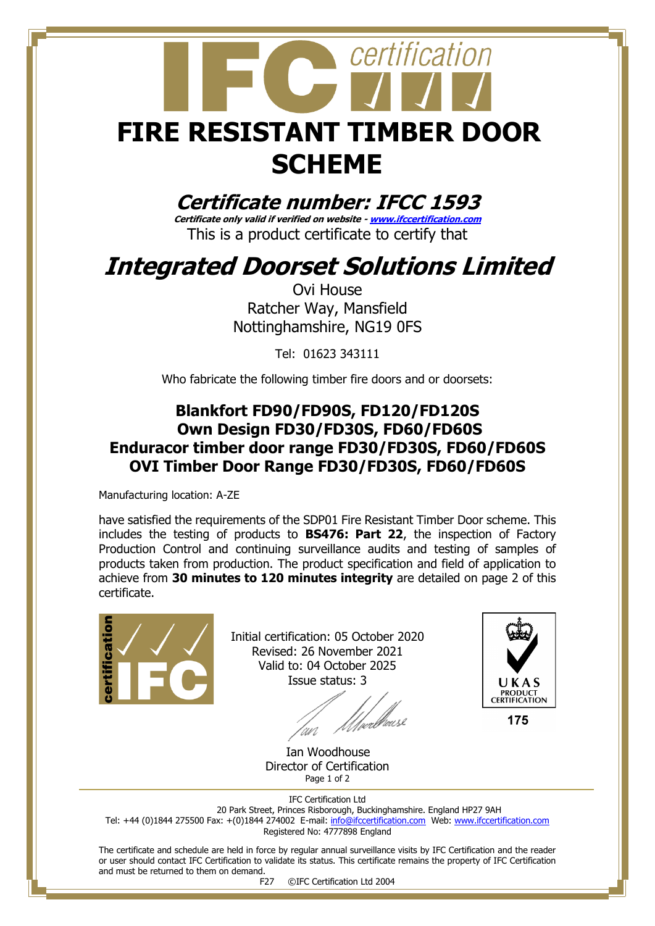

**Certificate number: IFCC 1593**

**Certificate only valid if verified on website - [www.ifccertification.com](http://www.ifccertification.com/)** This is a product certificate to certify that

## **Integrated Doorset Solutions Limited**

Ovi House Ratcher Way, Mansfield Nottinghamshire, NG19 0FS

Tel: 01623 343111

Who fabricate the following timber fire doors and or doorsets:

## **Blankfort FD90/FD90S, FD120/FD120S Own Design FD30/FD30S, FD60/FD60S Enduracor timber door range FD30/FD30S, FD60/FD60S OVI Timber Door Range FD30/FD30S, FD60/FD60S**

Manufacturing location: A-ZE

have satisfied the requirements of the SDP01 Fire Resistant Timber Door scheme. This includes the testing of products to **BS476: Part 22**, the inspection of Factory Production Control and continuing surveillance audits and testing of samples of products taken from production. The product specification and field of application to achieve from **30 minutes to 120 minutes integrity** are detailed on page 2 of this certificate.



Initial certification: 05 October 2020 Revised: 26 November 2021 Valid to: 04 October 2025 Issue status: 3

//*//wellieusk* 



 Ian Woodhouse Director of Certification Page 1 of 2

IFC Certification Ltd 20 Park Street, Princes Risborough, Buckinghamshire. England HP27 9AH Tel: +44 (0)1844 275500 Fax: +(0)1844 274002 E-mail[: info@ifccertification.com](mailto:info@ifccertification.com) Web: [www.ifccertification.com](http://www.ifccertification.com/) Registered No: 4777898 England

The certificate and schedule are held in force by regular annual surveillance visits by IFC Certification and the reader or user should contact IFC Certification to validate its status. This certificate remains the property of IFC Certification and must be returned to them on demand.

F27 ©IFC Certification Ltd 2004